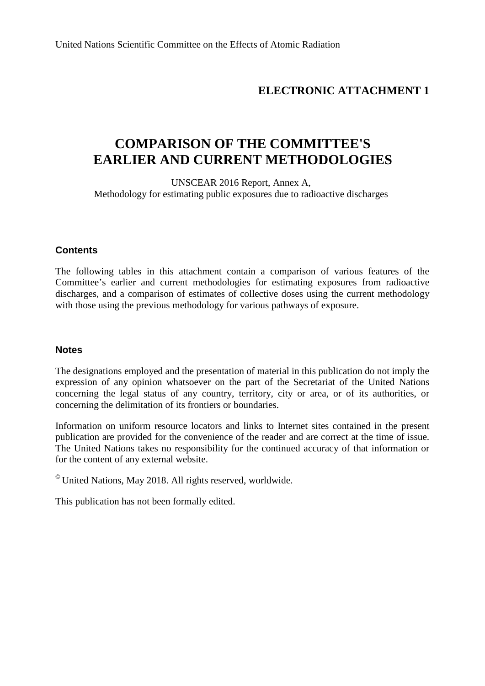# **ELECTRONIC ATTACHMENT 1**

# **COMPARISON OF THE COMMITTEE'S EARLIER AND CURRENT METHODOLOGIES**

UNSCEAR 2016 Report, Annex A, Methodology for estimating public exposures due to radioactive discharges

## **Contents**

The following tables in this attachment contain a comparison of various features of the Committee's earlier and current methodologies for estimating exposures from radioactive discharges, and a comparison of estimates of collective doses using the current methodology with those using the previous methodology for various pathways of exposure.

## **Notes**

The designations employed and the presentation of material in this publication do not imply the expression of any opinion whatsoever on the part of the Secretariat of the United Nations concerning the legal status of any country, territory, city or area, or of its authorities, or concerning the delimitation of its frontiers or boundaries.

Information on uniform resource locators and links to Internet sites contained in the present publication are provided for the convenience of the reader and are correct at the time of issue. The United Nations takes no responsibility for the continued accuracy of that information or for the content of any external website.

 $\,^{\circ}$  United Nations, May 2018. All rights reserved, worldwide.

This publication has not been formally edited.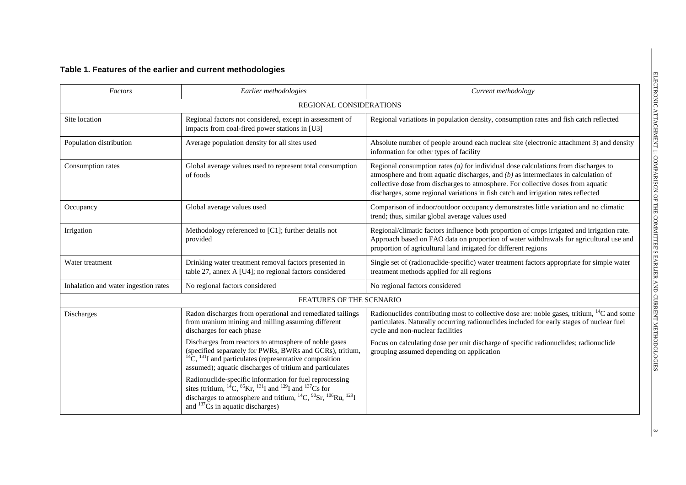## **Table 1. Features of the earlier and current methodologies**

| Factors                              | Earlier methodologies                                                                                                                                                                                                                                                               | Current methodology                                                                                                                                                                                                                                                                                                                                   |  |  |  |  |
|--------------------------------------|-------------------------------------------------------------------------------------------------------------------------------------------------------------------------------------------------------------------------------------------------------------------------------------|-------------------------------------------------------------------------------------------------------------------------------------------------------------------------------------------------------------------------------------------------------------------------------------------------------------------------------------------------------|--|--|--|--|
|                                      | <b>REGIONAL CONSIDERATIONS</b>                                                                                                                                                                                                                                                      |                                                                                                                                                                                                                                                                                                                                                       |  |  |  |  |
| Site location                        | Regional factors not considered, except in assessment of<br>impacts from coal-fired power stations in [U3]                                                                                                                                                                          | Regional variations in population density, consumption rates and fish catch reflected                                                                                                                                                                                                                                                                 |  |  |  |  |
| Population distribution              | Average population density for all sites used                                                                                                                                                                                                                                       | Absolute number of people around each nuclear site (electronic attachment 3) and density<br>information for other types of facility                                                                                                                                                                                                                   |  |  |  |  |
| Consumption rates                    | Global average values used to represent total consumption<br>of foods                                                                                                                                                                                                               | Regional consumption rates $(a)$ for individual dose calculations from discharges to<br>atmosphere and from aquatic discharges, and $(b)$ as intermediates in calculation of<br>collective dose from discharges to atmosphere. For collective doses from aquatic<br>discharges, some regional variations in fish catch and irrigation rates reflected |  |  |  |  |
| Occupancy                            | Global average values used                                                                                                                                                                                                                                                          | Comparison of indoor/outdoor occupancy demonstrates little variation and no climatic<br>trend; thus, similar global average values used                                                                                                                                                                                                               |  |  |  |  |
| Irrigation                           | Methodology referenced to [C1]; further details not<br>provided                                                                                                                                                                                                                     | Regional/climatic factors influence both proportion of crops irrigated and irrigation rate.<br>Approach based on FAO data on proportion of water withdrawals for agricultural use and<br>proportion of agricultural land irrigated for different regions                                                                                              |  |  |  |  |
| Water treatment                      | Drinking water treatment removal factors presented in<br>table 27, annex A [U4]; no regional factors considered                                                                                                                                                                     | Single set of (radionuclide-specific) water treatment factors appropriate for simple water<br>treatment methods applied for all regions                                                                                                                                                                                                               |  |  |  |  |
| Inhalation and water ingestion rates | No regional factors considered                                                                                                                                                                                                                                                      | No regional factors considered                                                                                                                                                                                                                                                                                                                        |  |  |  |  |
|                                      | FEATURES OF THE SCENARIO                                                                                                                                                                                                                                                            |                                                                                                                                                                                                                                                                                                                                                       |  |  |  |  |
| Discharges                           | Radon discharges from operational and remediated tailings<br>from uranium mining and milling assuming different<br>discharges for each phase                                                                                                                                        | Radionuclides contributing most to collective dose are: noble gases, tritium, <sup>14</sup> C and some<br>particulates. Naturally occurring radionuclides included for early stages of nuclear fuel<br>cycle and non-nuclear facilities                                                                                                               |  |  |  |  |
|                                      | Discharges from reactors to atmosphere of noble gases<br>(specified separately for PWRs, BWRs and GCRs), tritium,<br>${}^{14}C$ , ${}^{131}I$ and particulates (representative composition<br>assumed); aquatic discharges of tritium and particulates                              | Focus on calculating dose per unit discharge of specific radionuclides; radionuclide<br>grouping assumed depending on application                                                                                                                                                                                                                     |  |  |  |  |
|                                      | Radionuclide-specific information for fuel reprocessing<br>sites (tritium, ${}^{14}C$ , ${}^{85}Kr$ , ${}^{131}I$ and ${}^{129}I$ and ${}^{137}Cs$ for<br>discharges to atmosphere and tritium, ${}^{14}C, {}^{90}Sr, {}^{106}Ru, {}^{129}I$<br>and $137$ Cs in aquatic discharges) |                                                                                                                                                                                                                                                                                                                                                       |  |  |  |  |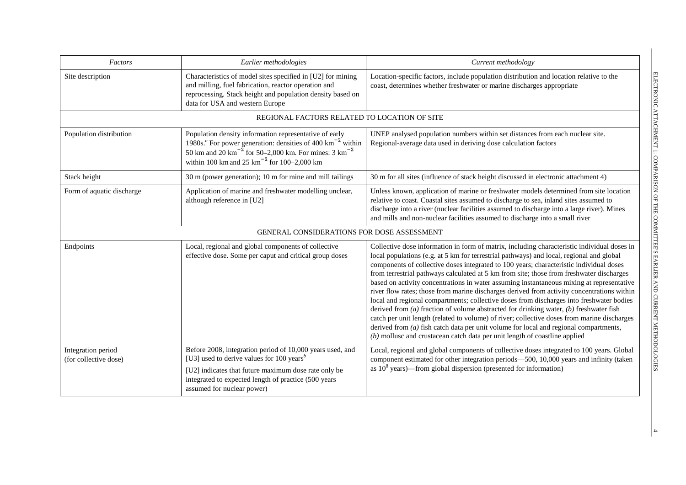| Factors                                     | Earlier methodologies                                                                                                                                                                                                                                                                  | Current methodology                                                                                                                                                                                                                                                                                                                                                                                                                                                                                                                                                                                                                                                                                                                                                                                                                                                                                                                                                                                                                           |  |  |  |  |
|---------------------------------------------|----------------------------------------------------------------------------------------------------------------------------------------------------------------------------------------------------------------------------------------------------------------------------------------|-----------------------------------------------------------------------------------------------------------------------------------------------------------------------------------------------------------------------------------------------------------------------------------------------------------------------------------------------------------------------------------------------------------------------------------------------------------------------------------------------------------------------------------------------------------------------------------------------------------------------------------------------------------------------------------------------------------------------------------------------------------------------------------------------------------------------------------------------------------------------------------------------------------------------------------------------------------------------------------------------------------------------------------------------|--|--|--|--|
| Site description                            | Characteristics of model sites specified in [U2] for mining<br>and milling, fuel fabrication, reactor operation and<br>reprocessing. Stack height and population density based on<br>data for USA and western Europe                                                                   | Location-specific factors, include population distribution and location relative to the<br>coast, determines whether freshwater or marine discharges appropriate                                                                                                                                                                                                                                                                                                                                                                                                                                                                                                                                                                                                                                                                                                                                                                                                                                                                              |  |  |  |  |
|                                             | REGIONAL FACTORS RELATED TO LOCATION OF SITE                                                                                                                                                                                                                                           |                                                                                                                                                                                                                                                                                                                                                                                                                                                                                                                                                                                                                                                                                                                                                                                                                                                                                                                                                                                                                                               |  |  |  |  |
| Population distribution                     | Population density information representative of early<br>1980s. <sup><i>a</i></sup> For power generation: densities of 400 km <sup>-2</sup> within<br>50 km and 20 km <sup>-2</sup> for 50-2,000 km. For mines: 3 km <sup>-2</sup><br>within 100 km and 25 $km^{-2}$ for 100–2,000 km | UNEP analysed population numbers within set distances from each nuclear site.<br>Regional-average data used in deriving dose calculation factors                                                                                                                                                                                                                                                                                                                                                                                                                                                                                                                                                                                                                                                                                                                                                                                                                                                                                              |  |  |  |  |
| Stack height                                | 30 m (power generation); 10 m for mine and mill tailings                                                                                                                                                                                                                               | 30 m for all sites (influence of stack height discussed in electronic attachment 4)                                                                                                                                                                                                                                                                                                                                                                                                                                                                                                                                                                                                                                                                                                                                                                                                                                                                                                                                                           |  |  |  |  |
| Form of aquatic discharge                   | Application of marine and freshwater modelling unclear,<br>although reference in [U2]                                                                                                                                                                                                  | Unless known, application of marine or freshwater models determined from site location<br>relative to coast. Coastal sites assumed to discharge to sea, inland sites assumed to<br>discharge into a river (nuclear facilities assumed to discharge into a large river). Mines<br>and mills and non-nuclear facilities assumed to discharge into a small river                                                                                                                                                                                                                                                                                                                                                                                                                                                                                                                                                                                                                                                                                 |  |  |  |  |
|                                             | GENERAL CONSIDERATIONS FOR DOSE ASSESSMENT                                                                                                                                                                                                                                             |                                                                                                                                                                                                                                                                                                                                                                                                                                                                                                                                                                                                                                                                                                                                                                                                                                                                                                                                                                                                                                               |  |  |  |  |
| Endpoints                                   | Local, regional and global components of collective<br>effective dose. Some per caput and critical group doses                                                                                                                                                                         | Collective dose information in form of matrix, including characteristic individual doses in<br>local populations (e.g. at 5 km for terrestrial pathways) and local, regional and global<br>components of collective doses integrated to 100 years; characteristic individual doses<br>from terrestrial pathways calculated at 5 km from site; those from freshwater discharges<br>based on activity concentrations in water assuming instantaneous mixing at representative<br>river flow rates; those from marine discharges derived from activity concentrations within<br>local and regional compartments; collective doses from discharges into freshwater bodies<br>derived from $(a)$ fraction of volume abstracted for drinking water, $(b)$ freshwater fish<br>catch per unit length (related to volume) of river; collective doses from marine discharges<br>derived from $(a)$ fish catch data per unit volume for local and regional compartments,<br>$(b)$ mollusc and crustacean catch data per unit length of coastline applied |  |  |  |  |
| Integration period<br>(for collective dose) | Before 2008, integration period of 10,000 years used, and<br>[U3] used to derive values for 100 years <sup>b</sup><br>[U2] indicates that future maximum dose rate only be<br>integrated to expected length of practice (500 years<br>assumed for nuclear power)                       | Local, regional and global components of collective doses integrated to 100 years. Global<br>component estimated for other integration periods-500, 10,000 years and infinity (taken<br>as $10^8$ years)—from global dispersion (presented for information)                                                                                                                                                                                                                                                                                                                                                                                                                                                                                                                                                                                                                                                                                                                                                                                   |  |  |  |  |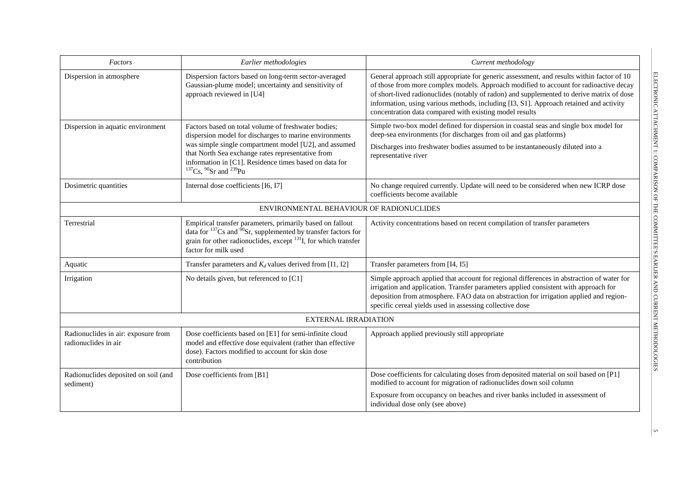| Factors                                                     | Earlier methodologies                                                                                                                                                                                                                                                                                                   | Current methodology                                                                                                                                                                                                                                                                                                                                                                                                                   |
|-------------------------------------------------------------|-------------------------------------------------------------------------------------------------------------------------------------------------------------------------------------------------------------------------------------------------------------------------------------------------------------------------|---------------------------------------------------------------------------------------------------------------------------------------------------------------------------------------------------------------------------------------------------------------------------------------------------------------------------------------------------------------------------------------------------------------------------------------|
| Dispersion in atmosphere                                    | Dispersion factors based on long-term sector-averaged<br>Gaussian-plume model; uncertainty and sensitivity of<br>approach reviewed in [U4]                                                                                                                                                                              | General approach still appropriate for generic assessment, and results within factor of 10<br>of those from more complex models. Approach modified to account for radioactive decay<br>of short-lived radionuclides (notably of radon) and supplemented to derive matrix of dose<br>information, using various methods, including [I3, S1]. Approach retained and activity<br>concentration data compared with existing model results |
| Dispersion in aquatic environment                           | Factors based on total volume of freshwater bodies;<br>dispersion model for discharges to marine environments<br>was simple single compartment model [U2], and assumed<br>that North Sea exchange rates representative from<br>information in [C1]. Residence times based on data for<br>$137$ Cs, $90$ Sr and $239$ Pu | Simple two-box model defined for dispersion in coastal seas and single box model for<br>deep-sea environments (for discharges from oil and gas platforms)<br>Discharges into freshwater bodies assumed to be instantaneously diluted into a<br>representative river                                                                                                                                                                   |
| Dosimetric quantities                                       | Internal dose coefficients [I6, I7]                                                                                                                                                                                                                                                                                     | No change required currently. Update will need to be considered when new ICRP dose<br>coefficients become available                                                                                                                                                                                                                                                                                                                   |
|                                                             | ENVIRONMENTAL BEHAVIOUR OF RADIONUCLIDES                                                                                                                                                                                                                                                                                |                                                                                                                                                                                                                                                                                                                                                                                                                                       |
| Terrestrial                                                 | Empirical transfer parameters, primarily based on fallout<br>data for $137$ Cs and $90$ Sr, supplemented by transfer factors for<br>grain for other radionuclides, except $^{131}I$ , for which transfer<br>factor for milk used                                                                                        | Activity concentrations based on recent compilation of transfer parameters                                                                                                                                                                                                                                                                                                                                                            |
| Aquatic                                                     | Transfer parameters and $K_d$ values derived from [I1, I2]                                                                                                                                                                                                                                                              | Transfer parameters from [I4, I5]                                                                                                                                                                                                                                                                                                                                                                                                     |
| Irrigation                                                  | No details given, but referenced to [C1]                                                                                                                                                                                                                                                                                | Simple approach applied that account for regional differences in abstraction of water for<br>irrigation and application. Transfer parameters applied consistent with approach for<br>deposition from atmosphere. FAO data on abstraction for irrigation applied and region-<br>specific cereal yields used in assessing collective dose                                                                                               |
|                                                             | <b>EXTERNAL IRRADIATION</b>                                                                                                                                                                                                                                                                                             |                                                                                                                                                                                                                                                                                                                                                                                                                                       |
| Radionuclides in air: exposure from<br>radionuclides in air | Dose coefficients based on [E1] for semi-infinite cloud<br>model and effective dose equivalent (rather than effective<br>dose). Factors modified to account for skin dose<br>contribution                                                                                                                               | Approach applied previously still appropriate                                                                                                                                                                                                                                                                                                                                                                                         |
| Radionuclides deposited on soil (and<br>sediment)           | Dose coefficients from [B1]                                                                                                                                                                                                                                                                                             | Dose coefficients for calculating doses from deposited material on soil based on [P1]<br>modified to account for migration of radionuclides down soil column<br>Exposure from occupancy on beaches and river banks included in assessment of<br>individual dose only (see above)                                                                                                                                                      |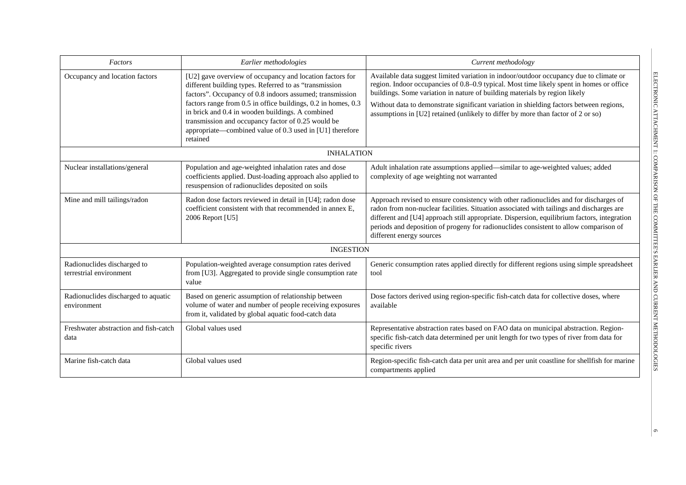| Factors                                                | Earlier methodologies                                                                                                                                                                                                                           | Current methodology                                                                                                                                                                                                                                                                                                                                                                                   |
|--------------------------------------------------------|-------------------------------------------------------------------------------------------------------------------------------------------------------------------------------------------------------------------------------------------------|-------------------------------------------------------------------------------------------------------------------------------------------------------------------------------------------------------------------------------------------------------------------------------------------------------------------------------------------------------------------------------------------------------|
| Occupancy and location factors                         | [U2] gave overview of occupancy and location factors for<br>different building types. Referred to as "transmission<br>factors". Occupancy of 0.8 indoors assumed; transmission                                                                  | Available data suggest limited variation in indoor/outdoor occupancy due to climate or<br>region. Indoor occupancies of 0.8-0.9 typical. Most time likely spent in homes or office<br>buildings. Some variation in nature of building materials by region likely                                                                                                                                      |
|                                                        | factors range from 0.5 in office buildings, 0.2 in homes, 0.3<br>in brick and 0.4 in wooden buildings. A combined<br>transmission and occupancy factor of 0.25 would be<br>appropriate—combined value of 0.3 used in [U1] therefore<br>retained | Without data to demonstrate significant variation in shielding factors between regions,<br>assumptions in [U2] retained (unlikely to differ by more than factor of 2 or so)                                                                                                                                                                                                                           |
|                                                        | <b>INHALATION</b>                                                                                                                                                                                                                               |                                                                                                                                                                                                                                                                                                                                                                                                       |
| Nuclear installations/general                          | Population and age-weighted inhalation rates and dose<br>coefficients applied. Dust-loading approach also applied to<br>resuspension of radionuclides deposited on soils                                                                        | Adult inhalation rate assumptions applied—similar to age-weighted values; added<br>complexity of age weighting not warranted                                                                                                                                                                                                                                                                          |
| Mine and mill tailings/radon                           | Radon dose factors reviewed in detail in [U4]; radon dose<br>coefficient consistent with that recommended in annex E,<br>2006 Report [U5]                                                                                                       | Approach revised to ensure consistency with other radionuclides and for discharges of<br>radon from non-nuclear facilities. Situation associated with tailings and discharges are<br>different and [U4] approach still appropriate. Dispersion, equilibrium factors, integration<br>periods and deposition of progeny for radionuclides consistent to allow comparison of<br>different energy sources |
|                                                        | <b>INGESTION</b>                                                                                                                                                                                                                                |                                                                                                                                                                                                                                                                                                                                                                                                       |
| Radionuclides discharged to<br>terrestrial environment | Population-weighted average consumption rates derived<br>from [U3]. Aggregated to provide single consumption rate<br>value                                                                                                                      | Generic consumption rates applied directly for different regions using simple spreadsheet<br>tool                                                                                                                                                                                                                                                                                                     |
| Radionuclides discharged to aquatic<br>environment     | Based on generic assumption of relationship between<br>volume of water and number of people receiving exposures<br>from it, validated by global aquatic food-catch data                                                                         | Dose factors derived using region-specific fish-catch data for collective doses, where<br>available                                                                                                                                                                                                                                                                                                   |
| Freshwater abstraction and fish-catch<br>data          | Global values used                                                                                                                                                                                                                              | Representative abstraction rates based on FAO data on municipal abstraction. Region-<br>specific fish-catch data determined per unit length for two types of river from data for<br>specific rivers                                                                                                                                                                                                   |
| Marine fish-catch data                                 | Global values used                                                                                                                                                                                                                              | Region-specific fish-catch data per unit area and per unit coastline for shellfish for marine<br>compartments applied                                                                                                                                                                                                                                                                                 |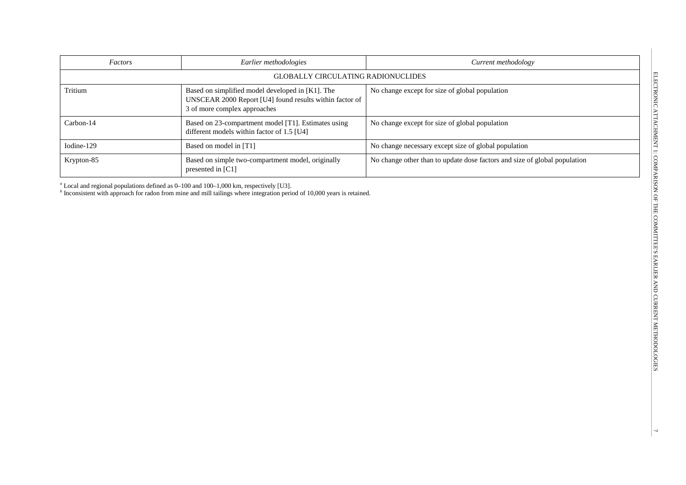| Factors    | Earlier methodologies                                                                                                                       | Current methodology                                                       |
|------------|---------------------------------------------------------------------------------------------------------------------------------------------|---------------------------------------------------------------------------|
|            | <b>GLOBALLY CIRCULATING RADIONUCLIDES</b>                                                                                                   |                                                                           |
| Tritium    | Based on simplified model developed in [K1]. The<br>UNSCEAR 2000 Report [U4] found results within factor of<br>3 of more complex approaches | No change except for size of global population                            |
| Carbon-14  | Based on 23-compartment model [T1]. Estimates using<br>different models within factor of 1.5 [U4]                                           | No change except for size of global population                            |
| Iodine-129 | Based on model in [T1]                                                                                                                      | No change necessary except size of global population                      |
| Krypton-85 | Based on simple two-compartment model, originally<br>presented in $\lceil C1 \rceil$                                                        | No change other than to update dose factors and size of global population |

*<sup>a</sup>* Local and regional populations defined as 0–100 and 100–1,000 km, respectively [U3].

*<sup>b</sup>* Inconsistent with approach for radon from mine and mill tailings where integration period of 10,000 years is retained.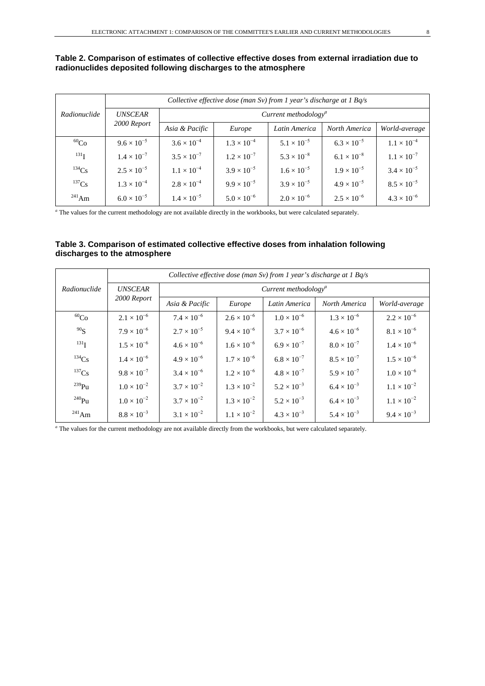## **Table 2. Comparison of estimates of collective effective doses from external irradiation due to radionuclides deposited following discharges to the atmosphere**

|              | Collective effective dose (man Sv) from 1 year's discharge at 1 $Bq/s$ |                                         |                      |                      |                      |                      |  |  |  |  |
|--------------|------------------------------------------------------------------------|-----------------------------------------|----------------------|----------------------|----------------------|----------------------|--|--|--|--|
| Radionuclide | <i><b>UNSCEAR</b></i>                                                  | Current methodology <sup><i>a</i></sup> |                      |                      |                      |                      |  |  |  |  |
|              | 2000 Report                                                            | Asia & Pacific                          | Europe               | Latin America        | North America        | World-average        |  |  |  |  |
| ${}^{60}Co$  | $9.6 \times 10^{-5}$                                                   | $3.6 \times 10^{-4}$                    | $1.3 \times 10^{-4}$ | $5.1 \times 10^{-5}$ | $6.3 \times 10^{-5}$ | $1.1 \times 10^{-4}$ |  |  |  |  |
| $^{131}$ T   | $1.4 \times 10^{-7}$                                                   | $3.5 \times 10^{-7}$                    | $1.2 \times 10^{-7}$ | $5.3 \times 10^{-8}$ | $6.1 \times 10^{-8}$ | $1.1 \times 10^{-7}$ |  |  |  |  |
| $^{134}Cs$   | $2.5 \times 10^{-5}$                                                   | $1.1 \times 10^{-4}$                    | $3.9 \times 10^{-5}$ | $1.6 \times 10^{-5}$ | $1.9 \times 10^{-5}$ | $3.4 \times 10^{-5}$ |  |  |  |  |
| $^{137}Cs$   | $1.3 \times 10^{-4}$                                                   | $2.8 \times 10^{-4}$                    | $9.9 \times 10^{-5}$ | $3.9 \times 10^{-5}$ | $4.9 \times 10^{-5}$ | $8.5 \times 10^{-5}$ |  |  |  |  |
| $^{241}$ Am  | $6.0 \times 10^{-5}$                                                   | $1.4 \times 10^{-5}$                    | $5.0 \times 10^{-6}$ | $2.0 \times 10^{-6}$ | $2.5 \times 10^{-6}$ | $4.3 \times 10^{-6}$ |  |  |  |  |

*<sup>a</sup>* The values for the current methodology are not available directly in the workbooks, but were calculated separately.

#### **Table 3. Comparison of estimated collective effective doses from inhalation following discharges to the atmosphere**

|                  | Collective effective dose (man Sv) from 1 year's discharge at $1$ Bq/s |                                         |                      |                      |                      |                      |  |  |  |  |
|------------------|------------------------------------------------------------------------|-----------------------------------------|----------------------|----------------------|----------------------|----------------------|--|--|--|--|
| Radionuclide     | <b>UNSCEAR</b>                                                         | Current methodology <sup><i>a</i></sup> |                      |                      |                      |                      |  |  |  |  |
|                  | 2000 Report                                                            | Asia & Pacific                          | Europe               | Latin America        | North America        | World-average        |  |  |  |  |
| ${}^{60}Co$      | $2.1 \times 10^{-6}$                                                   | $7.4 \times 10^{-6}$                    | $2.6 \times 10^{-6}$ | $1.0 \times 10^{-6}$ | $1.3 \times 10^{-6}$ | $2.2 \times 10^{-6}$ |  |  |  |  |
| 90 <sub>S</sub>  | $7.9 \times 10^{-6}$                                                   | $2.7 \times 10^{-5}$                    | $9.4 \times 10^{-6}$ | $3.7 \times 10^{-6}$ | $4.6 \times 10^{-6}$ | $8.1 \times 10^{-6}$ |  |  |  |  |
| 131 <sub>I</sub> | $1.5 \times 10^{-6}$                                                   | $4.6 \times 10^{-6}$                    | $1.6 \times 10^{-6}$ | $6.9 \times 10^{-7}$ | $8.0 \times 10^{-7}$ | $1.4 \times 10^{-6}$ |  |  |  |  |
| $^{134}Cs$       | $1.4 \times 10^{-6}$                                                   | $4.9 \times 10^{-6}$                    | $1.7 \times 10^{-6}$ | $6.8 \times 10^{-7}$ | $8.5 \times 10^{-7}$ | $1.5 \times 10^{-6}$ |  |  |  |  |
| $^{137}Cs$       | $9.8 \times 10^{-7}$                                                   | $3.4 \times 10^{-6}$                    | $1.2 \times 10^{-6}$ | $4.8 \times 10^{-7}$ | $5.9 \times 10^{-7}$ | $1.0 \times 10^{-6}$ |  |  |  |  |
| $^{239}Pu$       | $1.0 \times 10^{-2}$                                                   | $3.7 \times 10^{-2}$                    | $1.3 \times 10^{-2}$ | $5.2 \times 10^{-3}$ | $6.4 \times 10^{-3}$ | $1.1 \times 10^{-2}$ |  |  |  |  |
| $^{240}$ Pu      | $1.0 \times 10^{-2}$                                                   | $3.7 \times 10^{-2}$                    | $1.3 \times 10^{-2}$ | $5.2 \times 10^{-3}$ | $6.4 \times 10^{-3}$ | $1.1 \times 10^{-2}$ |  |  |  |  |
| $^{241}$ Am      | $8.8 \times 10^{-3}$                                                   | $3.1 \times 10^{-2}$                    | $1.1 \times 10^{-2}$ | $4.3 \times 10^{-3}$ | $5.4 \times 10^{-3}$ | $9.4 \times 10^{-3}$ |  |  |  |  |

*<sup>a</sup>* The values for the current methodology are not available directly from the workbooks, but were calculated separately.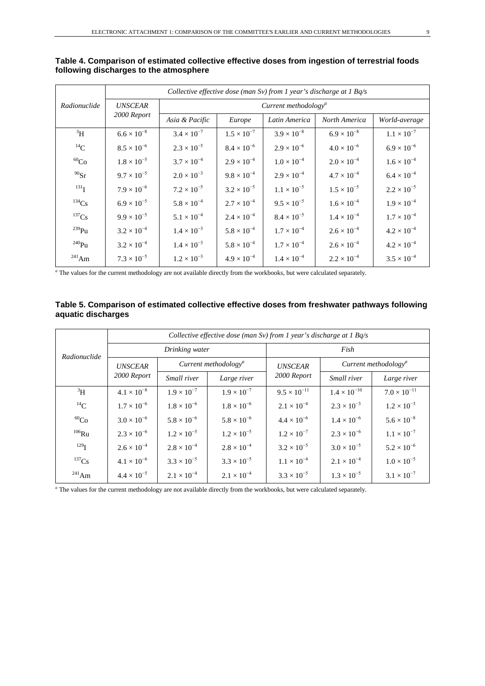|              | Collective effective dose (man Sv) from 1 year's discharge at 1 Bq/s |                                  |                      |                      |                      |                      |  |  |  |  |
|--------------|----------------------------------------------------------------------|----------------------------------|----------------------|----------------------|----------------------|----------------------|--|--|--|--|
| Radionuclide | <b>UNSCEAR</b>                                                       | Current methodology <sup>a</sup> |                      |                      |                      |                      |  |  |  |  |
|              | 2000 Report                                                          | Asia & Pacific                   | Europe               | Latin America        | North America        | World-average        |  |  |  |  |
| $\rm{^3H}$   | $6.6 \times 10^{-8}$                                                 | $3.4 \times 10^{-7}$             | $1.5 \times 10^{-7}$ | $3.9 \times 10^{-8}$ | $6.9 \times 10^{-8}$ | $1.1 \times 10^{-7}$ |  |  |  |  |
| $^{14}$ C    | $8.5 \times 10^{-6}$                                                 | $2.3 \times 10^{-5}$             | $8.4 \times 10^{-6}$ | $2.9 \times 10^{-6}$ | $4.0 \times 10^{-6}$ | $6.9 \times 10^{-6}$ |  |  |  |  |
| ${}^{60}Co$  | $1.8 \times 10^{-5}$                                                 | $3.7 \times 10^{-4}$             | $2.9 \times 10^{-4}$ | $1.0 \times 10^{-4}$ | $2.0 \times 10^{-4}$ | $1.6 \times 10^{-4}$ |  |  |  |  |
| $90$ Sr      | $9.7 \times 10^{-5}$                                                 | $2.0 \times 10^{-3}$             | $9.8 \times 10^{-4}$ | $2.9 \times 10^{-4}$ | $4.7 \times 10^{-4}$ | $6.4 \times 10^{-4}$ |  |  |  |  |
| $^{131}$ T   | $7.9 \times 10^{-6}$                                                 | $7.2 \times 10^{-5}$             | $3.2 \times 10^{-5}$ | $1.1 \times 10^{-5}$ | $1.5 \times 10^{-5}$ | $2.2 \times 10^{-5}$ |  |  |  |  |
| $134C_S$     | $6.9 \times 10^{-5}$                                                 | $5.8 \times 10^{-4}$             | $2.7 \times 10^{-4}$ | $9.5 \times 10^{-5}$ | $1.6 \times 10^{-4}$ | $1.9 \times 10^{-4}$ |  |  |  |  |
| $^{137}Cs$   | $9.9 \times 10^{-5}$                                                 | $5.1 \times 10^{-4}$             | $2.4 \times 10^{-4}$ | $8.4 \times 10^{-5}$ | $1.4 \times 10^{-4}$ | $1.7 \times 10^{-4}$ |  |  |  |  |
| $^{239}$ Pu  | $3.2 \times 10^{-4}$                                                 | $1.4 \times 10^{-3}$             | $5.8 \times 10^{-4}$ | $1.7 \times 10^{-4}$ | $2.6 \times 10^{-4}$ | $4.2 \times 10^{-4}$ |  |  |  |  |
| $^{240}$ Pu  | $3.2 \times 10^{-4}$                                                 | $1.4 \times 10^{-3}$             | $5.8 \times 10^{-4}$ | $1.7 \times 10^{-4}$ | $2.6 \times 10^{-4}$ | $4.2 \times 10^{-4}$ |  |  |  |  |
| $^{241}$ Am  | $7.3 \times 10^{-5}$                                                 | $1.2 \times 10^{-3}$             | $4.9 \times 10^{-4}$ | $1.4 \times 10^{-4}$ | $2.2 \times 10^{-4}$ | $3.5 \times 10^{-4}$ |  |  |  |  |

### **Table 4. Comparison of estimated collective effective doses from ingestion of terrestrial foods following discharges to the atmosphere**

*<sup>a</sup>* The values for the current methodology are not available directly from the workbooks, but were calculated separately.

#### **Table 5. Comparison of estimated collective effective doses from freshwater pathways following aquatic discharges**

| Radionuclide     | Collective effective dose (man Sv) from 1 year's discharge at $1$ Bq/s |                      |                                  |                       |                                         |                       |  |  |  |
|------------------|------------------------------------------------------------------------|----------------------|----------------------------------|-----------------------|-----------------------------------------|-----------------------|--|--|--|
|                  |                                                                        | Drinking water       |                                  | Fish                  |                                         |                       |  |  |  |
|                  | <b>UNSCEAR</b>                                                         |                      | Current methodology <sup>a</sup> | <b>UNSCEAR</b>        | Current methodology <sup><i>a</i></sup> |                       |  |  |  |
|                  | 2000 Report                                                            | Small river          | Large river                      | 2000 Report           | Small river                             | Large river           |  |  |  |
| $\rm{^3H}$       | $4.1 \times 10^{-8}$                                                   | $1.9 \times 10^{-7}$ | $1.9 \times 10^{-7}$             | $9.5 \times 10^{-11}$ | $1.4 \times 10^{-10}$                   | $7.0 \times 10^{-11}$ |  |  |  |
| $^{14}C$         | $1.7 \times 10^{-6}$                                                   | $1.8 \times 10^{-6}$ | $1.8 \times 10^{-6}$             | $2.1 \times 10^{-4}$  | $2.3 \times 10^{-3}$                    | $1.2 \times 10^{-3}$  |  |  |  |
| ${}^{60}Co$      | $3.0 \times 10^{-6}$                                                   | $5.8 \times 10^{-6}$ | $5.8 \times 10^{-6}$             | $4.4 \times 10^{-6}$  | $1.4 \times 10^{-6}$                    | $5.6 \times 10^{-8}$  |  |  |  |
| $106$ Ru         | $2.3 \times 10^{-6}$                                                   | $1.2 \times 10^{-5}$ | $1.2 \times 10^{-5}$             | $1.2 \times 10^{-7}$  | $2.3 \times 10^{-6}$                    | $1.1 \times 10^{-7}$  |  |  |  |
| 129 <sub>T</sub> | $2.6 \times 10^{-4}$                                                   | $2.8 \times 10^{-4}$ | $2.8 \times 10^{-4}$             | $3.2 \times 10^{-5}$  | $3.0 \times 10^{-5}$                    | $5.2 \times 10^{-6}$  |  |  |  |
| $^{137}Cs$       | $4.1 \times 10^{-6}$                                                   | $3.3 \times 10^{-5}$ | $3.3 \times 10^{-5}$             | $1.1 \times 10^{-4}$  | $2.1 \times 10^{-4}$                    | $1.0 \times 10^{-5}$  |  |  |  |
| $^{241}$ Am      | $4.4 \times 10^{-5}$                                                   | $2.1 \times 10^{-4}$ | $2.1 \times 10^{-4}$             | $3.3 \times 10^{-5}$  | $1.3 \times 10^{-5}$                    | $3.1 \times 10^{-7}$  |  |  |  |

*<sup>a</sup>* The values for the current methodology are not available directly from the workbooks, but were calculated separately.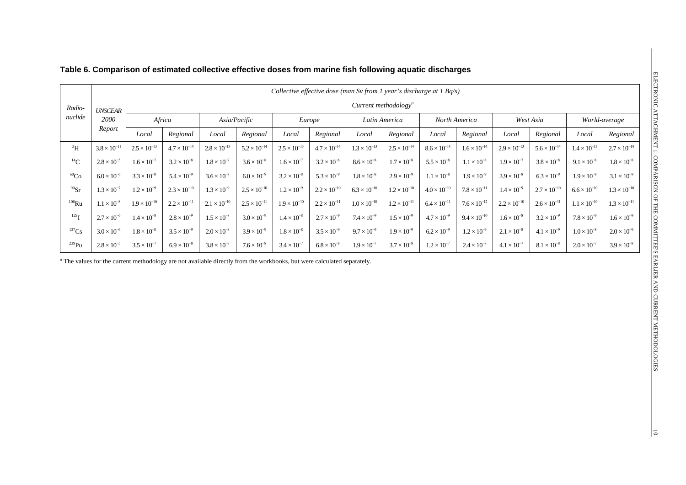|                     | Collective effective dose (man Sv from 1 year's discharge at 1 $Bq/s$ ) |                       |                                  |                       |                       |                       |                       |                       |                       |                       |                       |                       |                       |                       |                       |  |
|---------------------|-------------------------------------------------------------------------|-----------------------|----------------------------------|-----------------------|-----------------------|-----------------------|-----------------------|-----------------------|-----------------------|-----------------------|-----------------------|-----------------------|-----------------------|-----------------------|-----------------------|--|
| Radio-              | <b>UNSCEAR</b>                                                          |                       | Current methodology <sup>a</sup> |                       |                       |                       |                       |                       |                       |                       |                       |                       |                       |                       |                       |  |
| nuclide             | 2000                                                                    | Africa                |                                  | Asia/Pacific          |                       |                       | Europe                |                       | Latin America         |                       | North America         |                       | West Asia             |                       | World-average         |  |
|                     | Report                                                                  | Local                 | Regional                         | Local                 | Regional              | Local                 | Regional              | Local                 | Regional              | Local                 | Regional              | Local                 | Regional              | Local                 | Regional              |  |
| $\rm{^3H}$          | $3.8 \times 10^{-11}$                                                   | $2.5 \times 10^{-13}$ | $4.7 \times 10^{-14}$            | $2.8 \times 10^{-13}$ | $5.2 \times 10^{-14}$ | $2.5 \times 10^{-13}$ | $4.7 \times 10^{-14}$ | $1.3 \times 10^{-13}$ | $2.5 \times 10^{-14}$ | $8.6 \times 10^{-14}$ | $1.6 \times 10^{-14}$ | $2.9 \times 10^{-13}$ | $5.6 \times 10^{-14}$ | $1.4 \times 10^{-13}$ | $2.7 \times 10^{-14}$ |  |
| ${}^{14}C$          | $2.8 \times 10^{-5}$                                                    | $1.6 \times 10^{-7}$  | $3.2 \times 10^{-8}$             | $1.8 \times 10^{-7}$  | $3.6 \times 10^{-8}$  | $1.6 \times 10^{-7}$  | $3.2 \times 10^{-8}$  | $8.6 \times 10^{-8}$  | $1.7 \times 10^{-8}$  | $5.5 \times 10^{-8}$  | $1.1 \times 10^{-8}$  | $1.9 \times 10^{-7}$  | $3.8 \times 10^{-8}$  | $9.1 \times 10^{-8}$  | $1.8 \times 10^{-8}$  |  |
| ${}^{60}Co$         | $6.0 \times 10^{-6}$                                                    | $3.3 \times 10^{-8}$  | $5.4 \times 10^{-9}$             | $3.6 \times 10^{-8}$  | $6.0 \times 10^{-9}$  | $3.2 \times 10^{-8}$  | $5.3 \times 10^{-9}$  | $1.8 \times 10^{-8}$  | $2.9 \times 10^{-9}$  | $1.1 \times 10^{-8}$  | $1.9 \times 10^{-9}$  | $3.9 \times 10^{-8}$  | $6.3 \times 10^{-9}$  | $1.9 \times 10^{-8}$  | $3.1 \times 10^{-9}$  |  |
| $^{90}Sr$           | $1.3 \times 10^{-7}$                                                    | $1.2 \times 10^{-9}$  | $2.3 \times 10^{-10}$            | $1.3 \times 10^{-9}$  | $2.5 \times 10^{-10}$ | $1.2 \times 10^{-9}$  | $2.2 \times 10^{-10}$ | $6.3 \times 10^{-10}$ | $1.2 \times 10^{-10}$ | $4.0 \times 10^{-10}$ | $7.8 \times 10^{-11}$ | $1.4 \times 10^{-9}$  | $2.7 \times 10^{-10}$ | $6.6 \times 10^{-10}$ | $1.3 \times 10^{-10}$ |  |
| $^{106}\mbox{Ru}$   | $1.1 \times 10^{-8}$                                                    | $1.9 \times 10^{-10}$ | $2.2 \times 10^{-11}$            | $2.1 \times 10^{-10}$ | $2.5 \times 10^{-11}$ | $1.9 \times 10^{-10}$ | $2.2 \times 10^{-11}$ | $1.0 \times 10^{-10}$ | $1.2 \times 10^{-11}$ | $6.4 \times 10^{-11}$ | $7.6 \times 10^{-12}$ | $2.2 \times 10^{-10}$ | $2.6 \times 10^{-11}$ | $1.1 \times 10^{-10}$ | $1.3 \times 10^{-11}$ |  |
| $^{129}$ I          | $2.7 \times 10^{-6}$                                                    | $1.4 \times 10^{-8}$  | $2.8 \times 10^{-9}$             | $1.5 \times 10^{-8}$  | $3.0 \times 10^{-9}$  | $1.4 \times 10^{-8}$  | $2.7 \times 10^{-9}$  | $7.4 \times 10^{-9}$  | $1.5 \times 10^{-9}$  | $4.7 \times 10^{-9}$  | $9.4 \times 10^{-10}$ | $1.6 \times 10^{-8}$  | $3.2 \times 10^{-9}$  | $7.8 \times 10^{-9}$  | $1.6 \times 10^{-9}$  |  |
| $137$ Cs            | $3.0 \times 10^{-6}$                                                    | $1.8 \times 10^{-8}$  | $3.5 \times 10^{-9}$             | $2.0 \times 10^{-8}$  | $3.9 \times 10^{-9}$  | $1.8 \times 10^{-8}$  | $3.5 \times 10^{-9}$  | $9.7 \times 10^{-9}$  | $1.9 \times 10^{-9}$  | $6.2 \times 10^{-9}$  | $1.2 \times 10^{-9}$  | $2.1 \times 10^{-8}$  | $4.1 \times 10^{-9}$  | $1.0 \times 10^{-8}$  | $2.0 \times 10^{-9}$  |  |
| $^{239}\mathrm{Pu}$ | $2.8 \times 10^{-5}$                                                    | $3.5 \times 10^{-7}$  | $6.9 \times 10^{-8}$             | $3.8 \times 10^{-7}$  | $7.6 \times 10^{-8}$  | $3.4 \times 10^{-7}$  | $6.8 \times 10^{-8}$  | $1.9 \times 10^{-7}$  | $3.7 \times 10^{-8}$  | $1.2 \times 10^{-7}$  | $2.4 \times 10^{-8}$  | $4.1 \times 10^{-7}$  | $8.1 \times 10^{-8}$  | $2.0 \times 10^{-7}$  | $3.9 \times 10^{-8}$  |  |

## **Table 6. Comparison of estimated collective effective doses from marine fish following aquatic discharges**

*<sup>a</sup>* The values for the current methodology are not available directly from the workbooks, but were calculated separately.

 $|5$